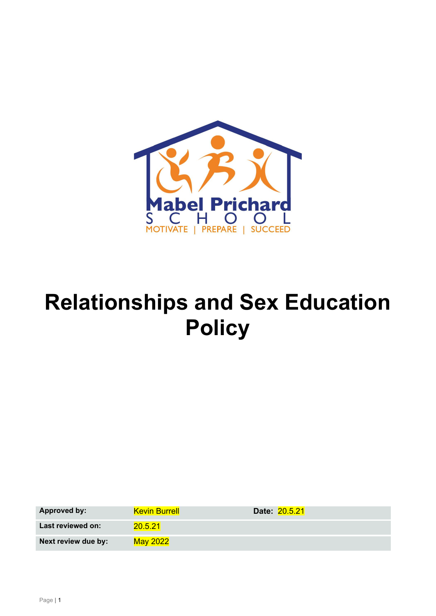

# **Relationships and Sex Education Policy**

| <b>Approved by:</b> | <b>Kevin Burrell</b> | Date: 20.5.21 |
|---------------------|----------------------|---------------|
| Last reviewed on:   | 20.5.21              |               |
| Next review due by: | May 2022             |               |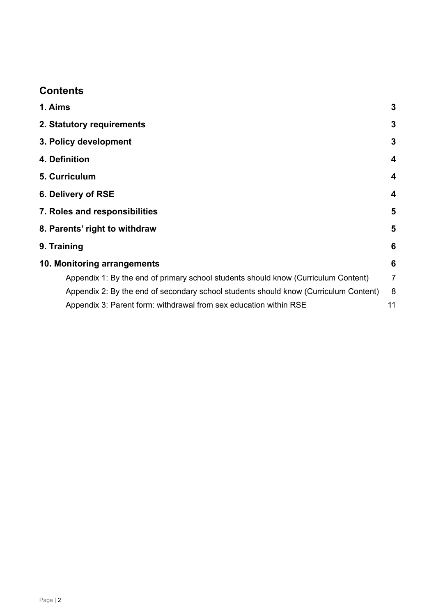## **Contents**

| 1. Aims                                                                              | 3              |
|--------------------------------------------------------------------------------------|----------------|
| 2. Statutory requirements                                                            | 3              |
| 3. Policy development                                                                | 3              |
| 4. Definition                                                                        | 4              |
| 5. Curriculum                                                                        | 4              |
| 6. Delivery of RSE                                                                   | 4              |
| 7. Roles and responsibilities                                                        | 5              |
| 8. Parents' right to withdraw                                                        | 5              |
| 9. Training                                                                          | 6              |
| 10. Monitoring arrangements                                                          | 6              |
| Appendix 1: By the end of primary school students should know (Curriculum Content)   | $\overline{7}$ |
| Appendix 2: By the end of secondary school students should know (Curriculum Content) | 8              |
| Appendix 3: Parent form: withdrawal from sex education within RSE                    | 11             |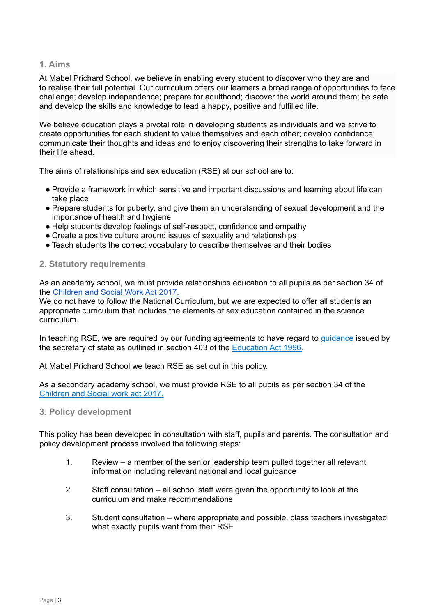#### <span id="page-2-0"></span>**1. Aims**

At Mabel Prichard School, we believe in enabling every student to discover who they are and to realise their full potential. Our curriculum offers our learners a broad range of opportunities to face challenge; develop independence; prepare for adulthood; discover the world around them; be safe and develop the skills and knowledge to lead a happy, positive and fulfilled life.

We believe education plays a pivotal role in developing students as individuals and we strive to create opportunities for each student to value themselves and each other; develop confidence; communicate their thoughts and ideas and to enjoy discovering their strengths to take forward in their life ahead.

The aims of relationships and sex education (RSE) at our school are to:

- Provide a framework in which sensitive and important discussions and learning about life can take place
- Prepare students for puberty, and give them an understanding of sexual development and the importance of health and hygiene
- Help students develop feelings of self-respect, confidence and empathy
- Create a positive culture around issues of sexuality and relationships
- Teach students the correct vocabulary to describe themselves and their bodies

#### <span id="page-2-1"></span>**2. Statutory requirements**

As an academy school, we must provide relationships education to all pupils as per section 34 of the [Children](http://www.legislation.gov.uk/ukpga/2017/16/section/34/enacted) and Social Work Act 2017.

We do not have to follow the National Curriculum, but we are expected to offer all students an appropriate curriculum that includes the elements of sex education contained in the science curriculum.

In teaching RSE, we are required by our funding agreements to have regard to [guidance](https://www.gov.uk/government/consultations/relationships-and-sex-education-and-health-education) issued by the secretary of state as outlined in section 403 of the [Education](http://www.legislation.gov.uk/ukpga/1996/56/contents) Act 1996.

At Mabel Prichard School we teach RSE as set out in this policy.

As a secondary academy school, we must provide RSE to all pupils as per section 34 of the [Children](http://www.legislation.gov.uk/ukpga/2017/16/section/34/enacted) and Social work act 2017.

<span id="page-2-2"></span>**3. Policy development**

This policy has been developed in consultation with staff, pupils and parents. The consultation and policy development process involved the following steps:

- 1. Review a member of the senior leadership team pulled together all relevant information including relevant national and local guidance
- 2. Staff consultation all school staff were given the opportunity to look at the curriculum and make recommendations
- 3. Student consultation where appropriate and possible, class teachers investigated what exactly pupils want from their RSE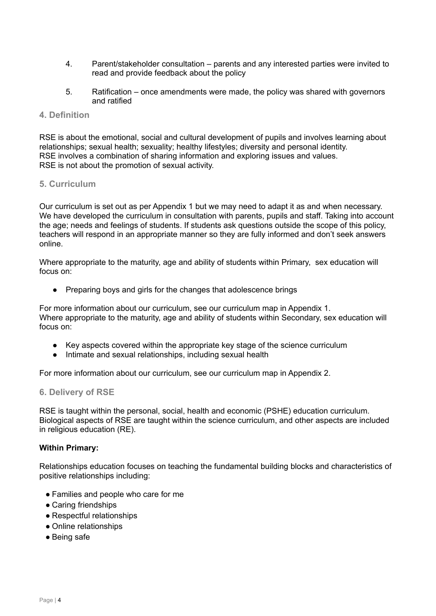- 4. Parent/stakeholder consultation parents and any interested parties were invited to read and provide feedback about the policy
- 5. Ratification once amendments were made, the policy was shared with governors and ratified

#### <span id="page-3-0"></span>**4. Definition**

RSE is about the emotional, social and cultural development of pupils and involves learning about relationships; sexual health; sexuality; healthy lifestyles; diversity and personal identity. RSE involves a combination of sharing information and exploring issues and values. RSE is not about the promotion of sexual activity.

#### <span id="page-3-1"></span>**5. Curriculum**

Our curriculum is set out as per Appendix 1 but we may need to adapt it as and when necessary. We have developed the curriculum in consultation with parents, pupils and staff. Taking into account the age; needs and feelings of students. If students ask questions outside the scope of this policy, teachers will respond in an appropriate manner so they are fully informed and don't seek answers online.

Where appropriate to the maturity, age and ability of students within Primary, sex education will focus on:

● Preparing boys and girls for the changes that adolescence brings

For more information about our curriculum, see our curriculum map in Appendix 1. Where appropriate to the maturity, age and ability of students within Secondary, sex education will focus on:

- Key aspects covered within the appropriate key stage of the science curriculum
- Intimate and sexual relationships, including sexual health

For more information about our curriculum, see our curriculum map in Appendix 2.

#### <span id="page-3-2"></span>**6. Delivery of RSE**

RSE is taught within the personal, social, health and economic (PSHE) education curriculum. Biological aspects of RSE are taught within the science curriculum, and other aspects are included in religious education (RE).

#### **Within Primary:**

Relationships education focuses on teaching the fundamental building blocks and characteristics of positive relationships including:

- Families and people who care for me
- Caring friendships
- Respectful relationships
- Online relationships
- Being safe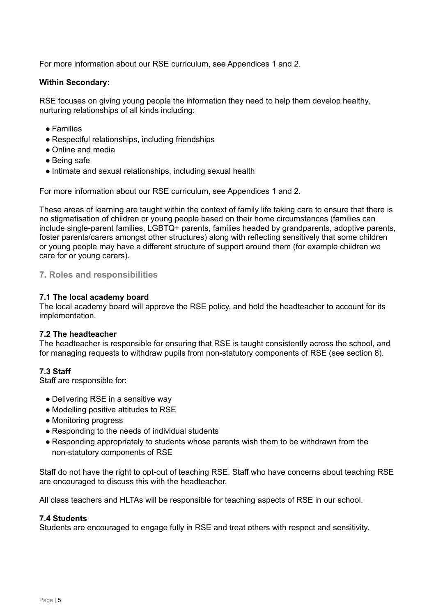For more information about our RSE curriculum, see Appendices 1 and 2.

#### **Within Secondary:**

RSE focuses on giving young people the information they need to help them develop healthy, nurturing relationships of all kinds including:

- Families
- Respectful relationships, including friendships
- Online and media
- Being safe
- Intimate and sexual relationships, including sexual health

For more information about our RSE curriculum, see Appendices 1 and 2.

These areas of learning are taught within the context of family life taking care to ensure that there is no stigmatisation of children or young people based on their home circumstances (families can include single-parent families, LGBTQ+ parents, families headed by grandparents, adoptive parents, foster parents/carers amongst other structures) along with reflecting sensitively that some children or young people may have a different structure of support around them (for example children we care for or young carers).

#### <span id="page-4-0"></span>**7. Roles and responsibilities**

#### **7.1 The local academy board**

The local academy board will approve the RSE policy, and hold the headteacher to account for its implementation.

#### **7.2 The headteacher**

The headteacher is responsible for ensuring that RSE is taught consistently across the school, and for managing requests to withdraw pupils from non-statutory components of RSE (see section 8).

#### **7.3 Staff**

Staff are responsible for:

- Delivering RSE in a sensitive way
- Modelling positive attitudes to RSE
- Monitoring progress
- Responding to the needs of individual students
- Responding appropriately to students whose parents wish them to be withdrawn from the non-statutory components of RSE

Staff do not have the right to opt-out of teaching RSE. Staff who have concerns about teaching RSE are encouraged to discuss this with the headteacher.

All class teachers and HLTAs will be responsible for teaching aspects of RSE in our school.

#### **7.4 Students**

<span id="page-4-1"></span>Students are encouraged to engage fully in RSE and treat others with respect and sensitivity.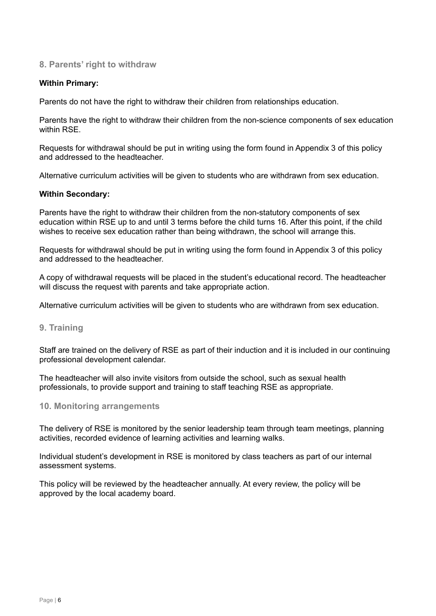#### **8. Parents' right to withdraw**

#### **Within Primary:**

Parents do not have the right to withdraw their children from relationships education.

Parents have the right to withdraw their children from the non-science components of sex education within RSF

Requests for withdrawal should be put in writing using the form found in Appendix 3 of this policy and addressed to the headteacher.

Alternative curriculum activities will be given to students who are withdrawn from sex education.

#### **Within Secondary:**

Parents have the right to withdraw their children from the non-statutory components of sex education within RSE up to and until 3 terms before the child turns 16. After this point, if the child wishes to receive sex education rather than being withdrawn, the school will arrange this.

Requests for withdrawal should be put in writing using the form found in Appendix 3 of this policy and addressed to the headteacher.

A copy of withdrawal requests will be placed in the student's educational record. The headteacher will discuss the request with parents and take appropriate action.

Alternative curriculum activities will be given to students who are withdrawn from sex education.

#### <span id="page-5-0"></span>**9. Training**

Staff are trained on the delivery of RSE as part of their induction and it is included in our continuing professional development calendar.

The headteacher will also invite visitors from outside the school, such as sexual health professionals, to provide support and training to staff teaching RSE as appropriate.

#### <span id="page-5-1"></span>**10. Monitoring arrangements**

The delivery of RSE is monitored by the senior leadership team through team meetings, planning activities, recorded evidence of learning activities and learning walks.

Individual student's development in RSE is monitored by class teachers as part of our internal assessment systems.

This policy will be reviewed by the headteacher annually. At every review, the policy will be approved by the local academy board.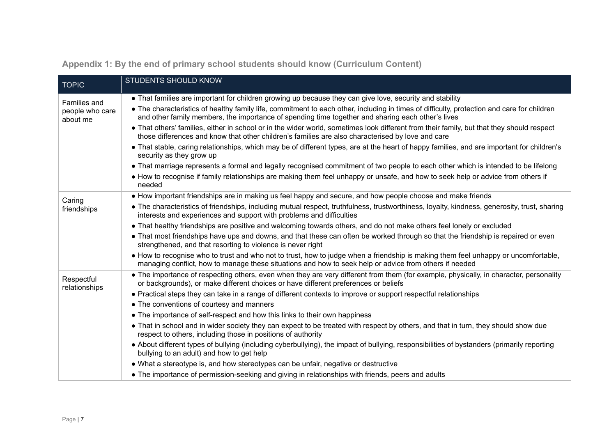<span id="page-6-0"></span>

| <b>TOPIC</b>                                | <b>STUDENTS SHOULD KNOW</b>                                                                                                                                                                                                                                                                                                                                 |
|---------------------------------------------|-------------------------------------------------------------------------------------------------------------------------------------------------------------------------------------------------------------------------------------------------------------------------------------------------------------------------------------------------------------|
| Families and<br>people who care<br>about me | • That families are important for children growing up because they can give love, security and stability<br>• The characteristics of healthy family life, commitment to each other, including in times of difficulty, protection and care for children<br>and other family members, the importance of spending time together and sharing each other's lives |
|                                             | • That others' families, either in school or in the wider world, sometimes look different from their family, but that they should respect<br>those differences and know that other children's families are also characterised by love and care                                                                                                              |
|                                             | • That stable, caring relationships, which may be of different types, are at the heart of happy families, and are important for children's<br>security as they grow up                                                                                                                                                                                      |
|                                             | • That marriage represents a formal and legally recognised commitment of two people to each other which is intended to be lifelong                                                                                                                                                                                                                          |
|                                             | • How to recognise if family relationships are making them feel unhappy or unsafe, and how to seek help or advice from others if<br>needed                                                                                                                                                                                                                  |
| Caring<br>friendships                       | • How important friendships are in making us feel happy and secure, and how people choose and make friends                                                                                                                                                                                                                                                  |
|                                             | • The characteristics of friendships, including mutual respect, truthfulness, trustworthiness, loyalty, kindness, generosity, trust, sharing<br>interests and experiences and support with problems and difficulties                                                                                                                                        |
|                                             | • That healthy friendships are positive and welcoming towards others, and do not make others feel lonely or excluded                                                                                                                                                                                                                                        |
|                                             | • That most friendships have ups and downs, and that these can often be worked through so that the friendship is repaired or even<br>strengthened, and that resorting to violence is never right                                                                                                                                                            |
|                                             | • How to recognise who to trust and who not to trust, how to judge when a friendship is making them feel unhappy or uncomfortable,<br>managing conflict, how to manage these situations and how to seek help or advice from others if needed                                                                                                                |
| Respectful<br>relationships                 | • The importance of respecting others, even when they are very different from them (for example, physically, in character, personality<br>or backgrounds), or make different choices or have different preferences or beliefs                                                                                                                               |
|                                             | • Practical steps they can take in a range of different contexts to improve or support respectful relationships                                                                                                                                                                                                                                             |
|                                             | • The conventions of courtesy and manners                                                                                                                                                                                                                                                                                                                   |
|                                             | • The importance of self-respect and how this links to their own happiness                                                                                                                                                                                                                                                                                  |
|                                             | • That in school and in wider society they can expect to be treated with respect by others, and that in turn, they should show due<br>respect to others, including those in positions of authority                                                                                                                                                          |
|                                             | • About different types of bullying (including cyberbullying), the impact of bullying, responsibilities of bystanders (primarily reporting<br>bullying to an adult) and how to get help                                                                                                                                                                     |
|                                             | • What a stereotype is, and how stereotypes can be unfair, negative or destructive                                                                                                                                                                                                                                                                          |
|                                             | • The importance of permission-seeking and giving in relationships with friends, peers and adults                                                                                                                                                                                                                                                           |

**Appendix 1: By the end of primary school students should know (Curriculum Content)**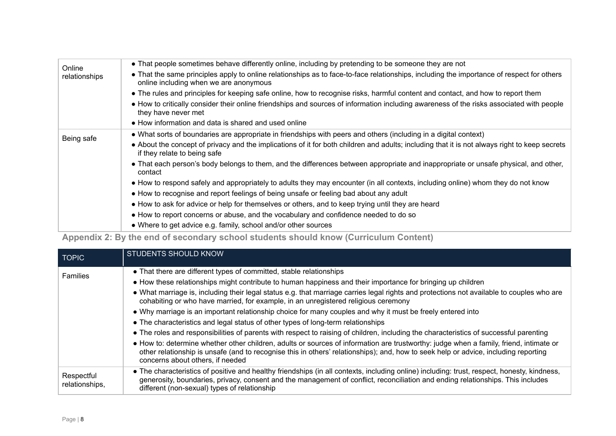| Online        | • That people sometimes behave differently online, including by pretending to be someone they are not                                                                               |
|---------------|-------------------------------------------------------------------------------------------------------------------------------------------------------------------------------------|
| relationships | • That the same principles apply to online relationships as to face-to-face relationships, including the importance of respect for others<br>online including when we are anonymous |
|               | • The rules and principles for keeping safe online, how to recognise risks, harmful content and contact, and how to report them                                                     |
|               | • How to critically consider their online friendships and sources of information including awareness of the risks associated with people<br>they have never met                     |
|               | • How information and data is shared and used online                                                                                                                                |
| Being safe    | • What sorts of boundaries are appropriate in friendships with peers and others (including in a digital context)                                                                    |
|               | • About the concept of privacy and the implications of it for both children and adults; including that it is not always right to keep secrets<br>if they relate to being safe       |
|               | • That each person's body belongs to them, and the differences between appropriate and inappropriate or unsafe physical, and other,<br>contact                                      |
|               | • How to respond safely and appropriately to adults they may encounter (in all contexts, including online) whom they do not know                                                    |
|               | • How to recognise and report feelings of being unsafe or feeling bad about any adult                                                                                               |
|               | • How to ask for advice or help for themselves or others, and to keep trying until they are heard                                                                                   |
|               | • How to report concerns or abuse, and the vocabulary and confidence needed to do so                                                                                                |
|               | • Where to get advice e.g. family, school and/or other sources                                                                                                                      |

# **Appendix 2: By the end of secondary school students should know (Curriculum Content)**

<span id="page-7-0"></span>

| <b>TOPIC</b>                 | <b>STUDENTS SHOULD KNOW</b>                                                                                                                                                                                                                                                                                                    |
|------------------------------|--------------------------------------------------------------------------------------------------------------------------------------------------------------------------------------------------------------------------------------------------------------------------------------------------------------------------------|
| <b>Families</b>              | • That there are different types of committed, stable relationships                                                                                                                                                                                                                                                            |
|                              | • How these relationships might contribute to human happiness and their importance for bringing up children                                                                                                                                                                                                                    |
|                              | • What marriage is, including their legal status e.g. that marriage carries legal rights and protections not available to couples who are<br>cohabiting or who have married, for example, in an unregistered religious ceremony                                                                                                |
|                              | • Why marriage is an important relationship choice for many couples and why it must be freely entered into                                                                                                                                                                                                                     |
|                              | • The characteristics and legal status of other types of long-term relationships                                                                                                                                                                                                                                               |
|                              | • The roles and responsibilities of parents with respect to raising of children, including the characteristics of successful parenting                                                                                                                                                                                         |
|                              | • How to: determine whether other children, adults or sources of information are trustworthy: judge when a family, friend, intimate or<br>other relationship is unsafe (and to recognise this in others' relationships); and, how to seek help or advice, including reporting<br>concerns about others, if needed              |
| Respectful<br>relationships, | • The characteristics of positive and healthy friendships (in all contexts, including online) including: trust, respect, honesty, kindness,<br>generosity, boundaries, privacy, consent and the management of conflict, reconciliation and ending relationships. This includes<br>different (non-sexual) types of relationship |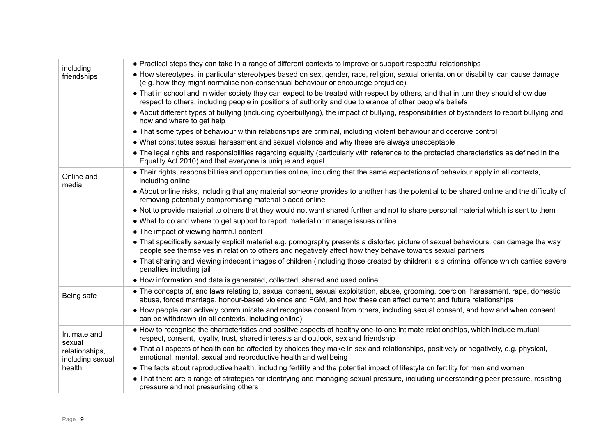| including                          | • Practical steps they can take in a range of different contexts to improve or support respectful relationships                                                                                                                                         |
|------------------------------------|---------------------------------------------------------------------------------------------------------------------------------------------------------------------------------------------------------------------------------------------------------|
| friendships                        | • How stereotypes, in particular stereotypes based on sex, gender, race, religion, sexual orientation or disability, can cause damage<br>(e.g. how they might normalise non-consensual behaviour or encourage prejudice)                                |
|                                    | • That in school and in wider society they can expect to be treated with respect by others, and that in turn they should show due<br>respect to others, including people in positions of authority and due tolerance of other people's beliefs          |
|                                    | • About different types of bullying (including cyberbullying), the impact of bullying, responsibilities of bystanders to report bullying and<br>how and where to get help                                                                               |
|                                    | • That some types of behaviour within relationships are criminal, including violent behaviour and coercive control                                                                                                                                      |
|                                    | • What constitutes sexual harassment and sexual violence and why these are always unacceptable                                                                                                                                                          |
|                                    | • The legal rights and responsibilities regarding equality (particularly with reference to the protected characteristics as defined in the<br>Equality Act 2010) and that everyone is unique and equal                                                  |
| Online and<br>media                | • Their rights, responsibilities and opportunities online, including that the same expectations of behaviour apply in all contexts,<br>including online                                                                                                 |
|                                    | • About online risks, including that any material someone provides to another has the potential to be shared online and the difficulty of<br>removing potentially compromising material placed online                                                   |
|                                    | • Not to provide material to others that they would not want shared further and not to share personal material which is sent to them                                                                                                                    |
|                                    | • What to do and where to get support to report material or manage issues online                                                                                                                                                                        |
|                                    | • The impact of viewing harmful content                                                                                                                                                                                                                 |
|                                    | • That specifically sexually explicit material e.g. pornography presents a distorted picture of sexual behaviours, can damage the way<br>people see themselves in relation to others and negatively affect how they behave towards sexual partners      |
|                                    | • That sharing and viewing indecent images of children (including those created by children) is a criminal offence which carries severe<br>penalties including jail                                                                                     |
|                                    | • How information and data is generated, collected, shared and used online                                                                                                                                                                              |
| Being safe                         | • The concepts of, and laws relating to, sexual consent, sexual exploitation, abuse, grooming, coercion, harassment, rape, domestic<br>abuse, forced marriage, honour-based violence and FGM, and how these can affect current and future relationships |
|                                    | • How people can actively communicate and recognise consent from others, including sexual consent, and how and when consent<br>can be withdrawn (in all contexts, including online)                                                                     |
| Intimate and<br>sexual             | • How to recognise the characteristics and positive aspects of healthy one-to-one intimate relationships, which include mutual<br>respect, consent, loyalty, trust, shared interests and outlook, sex and friendship                                    |
| relationships,<br>including sexual | • That all aspects of health can be affected by choices they make in sex and relationships, positively or negatively, e.g. physical,<br>emotional, mental, sexual and reproductive health and wellbeing                                                 |
| health                             | • The facts about reproductive health, including fertility and the potential impact of lifestyle on fertility for men and women                                                                                                                         |
|                                    | • That there are a range of strategies for identifying and managing sexual pressure, including understanding peer pressure, resisting<br>pressure and not pressurising others                                                                           |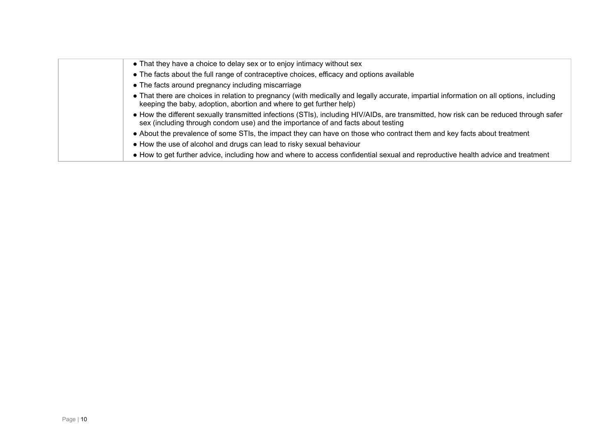| • That they have a choice to delay sex or to enjoy intimacy without sex                                                                                                                                                    |
|----------------------------------------------------------------------------------------------------------------------------------------------------------------------------------------------------------------------------|
| • The facts about the full range of contraceptive choices, efficacy and options available                                                                                                                                  |
| • The facts around pregnancy including miscarriage                                                                                                                                                                         |
| • That there are choices in relation to pregnancy (with medically and legally accurate, impartial information on all options, including<br>keeping the baby, adoption, abortion and where to get further help)             |
| • How the different sexually transmitted infections (STIs), including HIV/AIDs, are transmitted, how risk can be reduced through safer<br>sex (including through condom use) and the importance of and facts about testing |
| • About the prevalence of some STIs, the impact they can have on those who contract them and key facts about treatment                                                                                                     |
| • How the use of alcohol and drugs can lead to risky sexual behaviour                                                                                                                                                      |
| • How to get further advice, including how and where to access confidential sexual and reproductive health advice and treatment                                                                                            |